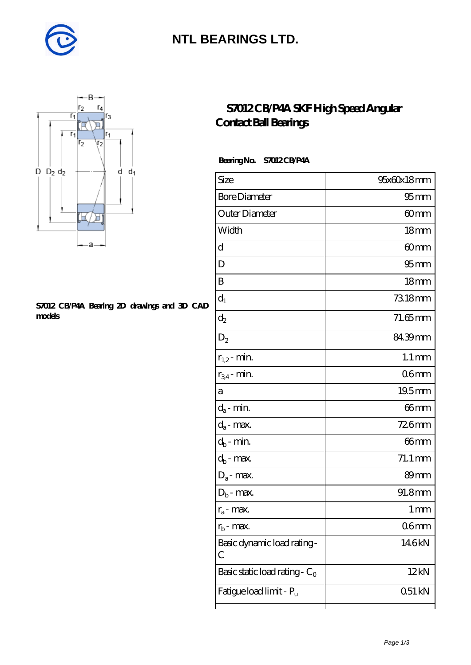

### **[NTL BEARINGS LTD.](https://m.diabetesfriends.net)**



#### **[S7012 CB/P4A Bearing 2D drawings and 3D CAD](https://m.diabetesfriends.net/pic-590694.html) [models](https://m.diabetesfriends.net/pic-590694.html)**

### **[S7012 CB/P4A SKF High Speed Angular](https://m.diabetesfriends.net/skf-bearing/s7012-cb-p4a.html) [Contact Ball Bearings](https://m.diabetesfriends.net/skf-bearing/s7012-cb-p4a.html)**

#### **Bearing No. S7012 CB/P4A**

| Size                             | 95x60x18mm          |
|----------------------------------|---------------------|
| <b>Bore Diameter</b>             | $95 \text{mm}$      |
| Outer Diameter                   | 60mm                |
| Width                            | 18 <sub>mm</sub>    |
| d                                | 60 <sub>mm</sub>    |
| D                                | 95 <sub>mm</sub>    |
| B                                | 18 <sub>mm</sub>    |
| $d_1$                            | 7318mm              |
| $\mathrm{d}_2$                   | $71.65$ mm          |
| $D_2$                            | 84.39mm             |
| $r_{1,2}$ - min.                 | $1.1 \,\mathrm{mm}$ |
| $r_{34}$ - min.                  | 06mm                |
| а                                | 19.5mm              |
| $d_a$ - min.                     | 66mm                |
| $d_a$ - max.                     | 726mm               |
| $d_b$ - min.                     | 66mm                |
| $d_b$ - $\max$                   | 71.1 mm             |
| $D_a$ - max.                     | 89mm                |
| $D_b$ - max.                     | 91.8mm              |
| $r_a$ - max.                     | 1 mm                |
| $r_{\rm b}$ - max.               | 06 <sub>mm</sub>    |
| Basic dynamic load rating-<br>С  | 146kN               |
| Basic static load rating - $C_0$ | 12kN                |
| Fatigue load limit - Pu          | 051 kN              |
|                                  |                     |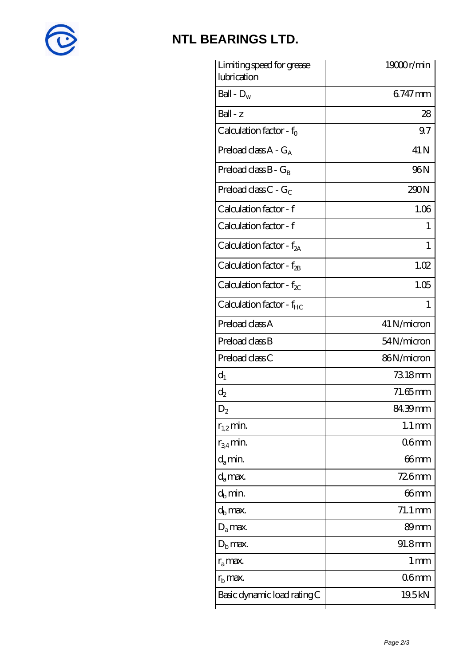

# **[NTL BEARINGS LTD.](https://m.diabetesfriends.net)**

| Limiting speed for grease<br>lubrication | 19000r/min           |
|------------------------------------------|----------------------|
| Ball - $D_w$                             | 6747mm               |
| $Ball - z$                               | 28                   |
| Calculation factor - $f_0$               | 9.7                  |
| Preload class $A - G_A$                  | 41 N                 |
| Preload class $B - G_B$                  | <b>96N</b>           |
| Preload class C - $G_C$                  | 290N                 |
| Calculation factor - f                   | 1.06                 |
| Calculation factor - f                   | 1                    |
| Calculation factor - $f_{2A}$            | 1                    |
| Calculation factor - $f_{2B}$            | 1.02                 |
| Calculation factor - $f_{\chi}$          | 1.05                 |
| Calculation factor - f <sub>HC</sub>     | 1                    |
| Preload class A                          | 41 N/micron          |
| Preload class B                          | 54N/micron           |
| Preload class C                          | 86N/micron           |
| $d_1$                                    | 73.18mm              |
| $d_2$                                    | $71.65$ mm           |
| $\mathrm{D}_2$                           | 84.39mm              |
| $r_{1,2}$ min.                           | $1.1 \,\mathrm{mm}$  |
| $r_{34}$ min.                            | 06 <sub>mm</sub>     |
| $d_{a}$ min.                             | 66mm                 |
| $d_a$ max.                               | $726$ mm             |
| $d_h$ min.                               | 66mm                 |
| $d_h$ max.                               | $71.1 \,\mathrm{mm}$ |
| $D_a$ max.                               | 89mm                 |
| $D_{\rm b}$ max.                         | 91.8mm               |
| $r_a$ max.                               | 1 mm                 |
| $r_{\rm b}$ max.                         | 06mm                 |
| Basic dynamic load rating C              | 19.5kN               |